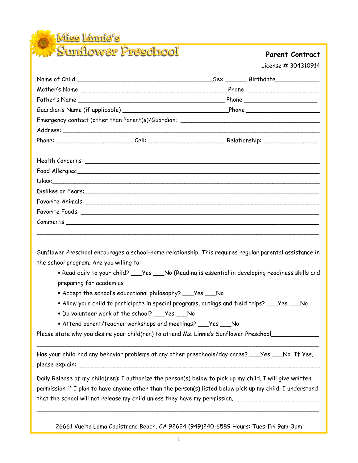**Wiss Linnie's** 

# Preschool Parent Contract

License # 304310914

| Emergency contact (other than Parent(s)/Guardian: ______________________________                                                                   |  |
|----------------------------------------------------------------------------------------------------------------------------------------------------|--|
|                                                                                                                                                    |  |
|                                                                                                                                                    |  |
|                                                                                                                                                    |  |
|                                                                                                                                                    |  |
|                                                                                                                                                    |  |
|                                                                                                                                                    |  |
| Favorite Animals: experience and a state of the state of the state of the state of the state of the state of the                                   |  |
|                                                                                                                                                    |  |
|                                                                                                                                                    |  |
| Sunflower Preschool encourages a school-home relationship. This requires regular parental assistance in<br>the school program. Are you willing to: |  |
| . Read daily to your child? ___ Yes ___ No (Reading is essential in developing readiness skills and<br>preparing for academics                     |  |
| • Accept the school's educational philosophy? ___Yes ___No                                                                                         |  |
| • Allow your child to participate in special programs, outings and field trips? ___Yes ___No                                                       |  |
| . Do volunteer work at the school? ___ Yes ___ No                                                                                                  |  |
| • Attend parent/teacher workshops and meetings? ___ Yes ___ No                                                                                     |  |
| Please state why you desire your child(ren) to attend Ms. Linnie's Sunflower Preschool_                                                            |  |
| Has your child had any behavior problems at any other preschools/day cares? ___Yes ___No If Yes,                                                   |  |

Daily Release of my child(ren): I authorize the person(s) below to pick up my child. I will give written permission if I plan to have anyone other than the person(s) listed below pick up my child. I understand that the school will not release my child unless they have my permission.

26661 Vuelta Loma Capistrano Beach, CA 92624 (949)240-6589 Hours: Tues-Fri 9am-3pm

\_\_\_\_\_\_\_\_\_\_\_\_\_\_\_\_\_\_\_\_\_\_\_\_\_\_\_\_\_\_\_\_\_\_\_\_\_\_\_\_\_\_\_\_\_\_\_\_\_\_\_\_\_\_\_\_\_\_\_\_\_\_\_\_\_\_\_\_\_\_\_\_\_\_\_\_\_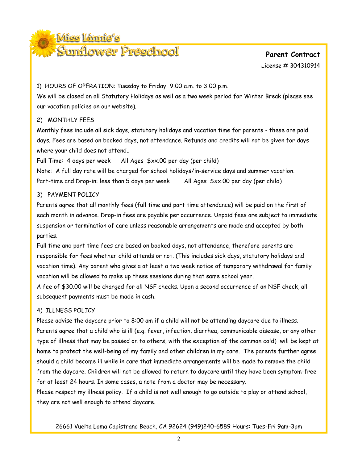

License # 304310914

#### 1) HOURS OF OPERATION: Tuesday to Friday 9:00 a.m. to 3:00 p.m.

We will be closed on all Statutory Holidays as well as a two week period for Winter Break (please see our vacation policies on our website).

## 2) MONTHLY FEES

Monthly fees include all sick days, statutory holidays and vacation time for parents - these are paid days. Fees are based on booked days, not attendance. Refunds and credits will not be given for days where your child does not attend..

Full Time: 4 days per week All Ages \$xx.00 per day (per child)

Note: A full day rate will be charged for school holidays/in-service days and summer vacation. Part-time and Drop-in: less than 5 days per week All Ages \$xx.00 per day (per child)

## 3) PAYMENT POLICY

Parents agree that all monthly fees (full time and part time attendance) will be paid on the first of each month in advance. Drop-in fees are payable per occurrence. Unpaid fees are subject to immediate suspension or termination of care unless reasonable arrangements are made and accepted by both parties.

Full time and part time fees are based on booked days, not attendance, therefore parents are responsible for fees whether child attends or not. (This includes sick days, statutory holidays and vacation time). Any parent who gives a at least a two week notice of temporary withdrawal for family vacation will be allowed to make up these sessions during that same school year.

A fee of \$30.00 will be charged for all NSF checks. Upon a second occurrence of an NSF check, all subsequent payments must be made in cash.

# 4) ILLNESS POLICY

Please advise the daycare prior to 8:00 am if a child will not be attending daycare due to illness. Parents agree that a child who is ill (e.g. fever, infection, diarrhea, communicable disease, or any other type of illness that may be passed on to others, with the exception of the common cold) will be kept at home to protect the well-being of my family and other children in my care. The parents further agree should a child become ill while in care that immediate arrangements will be made to remove the child from the daycare. Children will not be allowed to return to daycare until they have been symptom-free for at least 24 hours. In some cases, a note from a doctor may be necessary.

Please respect my illness policy. If a child is not well enough to go outside to play or attend school, they are not well enough to attend daycare.

26661 Vuelta Loma Capistrano Beach, CA 92624 (949)240-6589 Hours: Tues-Fri 9am-3pm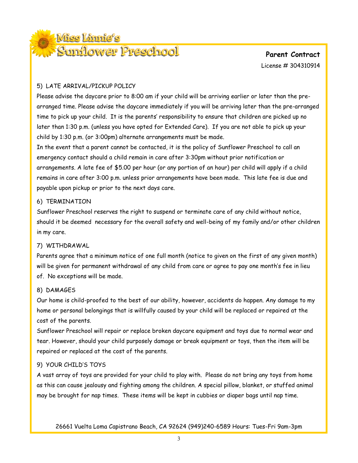

License # 304310914

#### 5) LATE ARRIVAL/PICKUP POLICY

Please advise the daycare prior to 8:00 am if your child will be arriving earlier or later than the prearranged time. Please advise the daycare immediately if you will be arriving later than the pre-arranged time to pick up your child. It is the parents' responsibility to ensure that children are picked up no later than 1:30 p.m. (unless you have opted for Extended Care). If you are not able to pick up your child by 1:30 p.m. (or 3:00pm) alternate arrangements must be made.

In the event that a parent cannot be contacted, it is the policy of Sunflower Preschool to call an emergency contact should a child remain in care after 3:30pm without prior notification or arrangements. A late fee of \$5.00 per hour (or any portion of an hour) per child will apply if a child remains in care after 3:00 p.m. unless prior arrangements have been made. This late fee is due and payable upon pickup or prior to the next days care.

#### 6) TERMINATION

Sunflower Preschool reserves the right to suspend or terminate care of any child without notice, should it be deemed necessary for the overall safety and well-being of my family and/or other children in my care.

#### 7) WITHDRAWAL

Parents agree that a minimum notice of one full month (notice to given on the first of any given month) will be given for permanent withdrawal of any child from care or agree to pay one month's fee in lieu of. No exceptions will be made.

#### 8) DAMAGES

Our home is child-proofed to the best of our ability, however, accidents do happen. Any damage to my home or personal belongings that is willfully caused by your child will be replaced or repaired at the cost of the parents.

Sunflower Preschool will repair or replace broken daycare equipment and toys due to normal wear and tear. However, should your child purposely damage or break equipment or toys, then the item will be repaired or replaced at the cost of the parents.

# 9) YOUR CHILD'S TOYS

A vast array of toys are provided for your child to play with. Please do not bring any toys from home as this can cause jealousy and fighting among the children. A special pillow, blanket, or stuffed animal may be brought for nap times. These items will be kept in cubbies or diaper bags until nap time.

26661 Vuelta Loma Capistrano Beach, CA 92624 (949)240-6589 Hours: Tues-Fri 9am-3pm